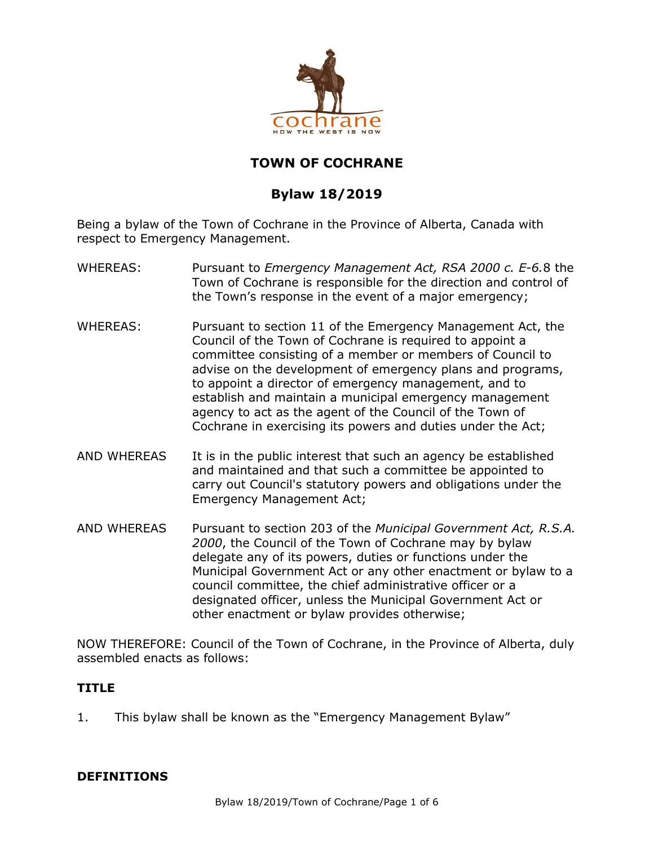

# **TOWN OF COCHRANE**

# **Bylaw 18/2019**

Being a bylaw of the Town of Cochrane in the Province of Alberta, Canada with respect to Emergency Management.

- WHEREAS: Pursuant to *Emergency Management Act, RSA 2000 c. E-6.*8 the Town of Cochrane is responsible for the direction and control of the Town's response in the event of a major emergency;
- WHEREAS: Pursuant to section 11 of the Emergency Management Act, the Council of the Town of Cochrane is required to appoint a committee consisting of a member or members of Council to advise on the development of emergency plans and programs, to appoint a director of emergency management, and to establish and maintain a municipal emergency management agency to act as the agent of the Council of the Town of Cochrane in exercising its powers and duties under the Act;
- AND WHEREAS It is in the public interest that such an agency be established and maintained and that such a committee be appointed to carry out Council's statutory powers and obligations under the Emergency Management Act;
- AND WHEREAS Pursuant to section 203 of the *Municipal Government Act, R.S.A. 2000*, the Council of the Town of Cochrane may by bylaw delegate any of its powers, duties or functions under the Municipal Government Act or any other enactment or bylaw to a council committee, the chief administrative officer or a designated officer, unless the Municipal Government Act or other enactment or bylaw provides otherwise;

NOW THEREFORE: Council of the Town of Cochrane, in the Province of Alberta, duly assembled enacts as follows:

### **TITLE**

1. This bylaw shall be known as the "Emergency Management Bylaw"

### **DEFINITIONS**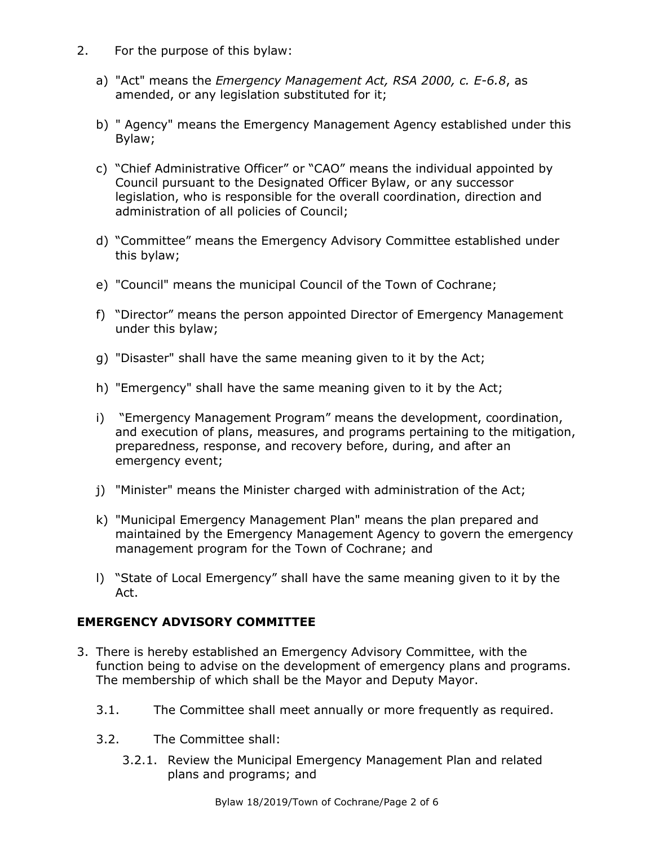- 2. For the purpose of this bylaw:
	- a) "Act" means the *Emergency Management Act, RSA 2000, c. E-6.8*, as amended, or any legislation substituted for it;
	- b) " Agency" means the Emergency Management Agency established under this Bylaw;
	- c) "Chief Administrative Officer" or "CAO" means the individual appointed by Council pursuant to the Designated Officer Bylaw, or any successor legislation, who is responsible for the overall coordination, direction and administration of all policies of Council;
	- d) "Committee" means the Emergency Advisory Committee established under this bylaw;
	- e) "Council" means the municipal Council of the Town of Cochrane;
	- f) "Director" means the person appointed Director of Emergency Management under this bylaw;
	- g) "Disaster" shall have the same meaning given to it by the Act;
	- h) "Emergency" shall have the same meaning given to it by the Act;
	- i) "Emergency Management Program" means the development, coordination, and execution of plans, measures, and programs pertaining to the mitigation, preparedness, response, and recovery before, during, and after an emergency event;
	- j) "Minister" means the Minister charged with administration of the Act;
	- k) "Municipal Emergency Management Plan" means the plan prepared and maintained by the Emergency Management Agency to govern the emergency management program for the Town of Cochrane; and
	- l) "State of Local Emergency" shall have the same meaning given to it by the Act.

### **EMERGENCY ADVISORY COMMITTEE**

- 3. There is hereby established an Emergency Advisory Committee, with the function being to advise on the development of emergency plans and programs. The membership of which shall be the Mayor and Deputy Mayor.
	- 3.1. The Committee shall meet annually or more frequently as required.
	- 3.2. The Committee shall:
		- 3.2.1. Review the Municipal Emergency Management Plan and related plans and programs; and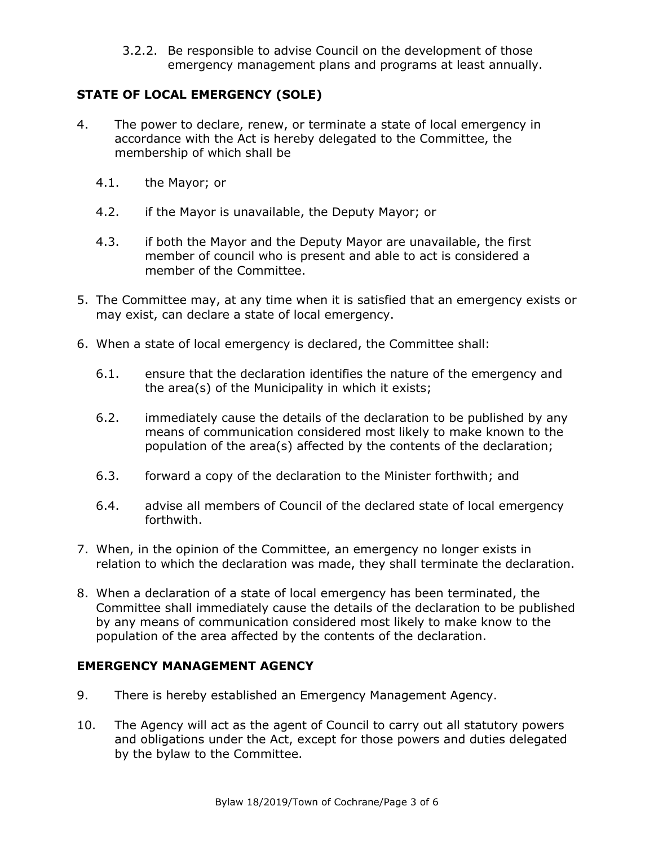3.2.2. Be responsible to advise Council on the development of those emergency management plans and programs at least annually.

## **STATE OF LOCAL EMERGENCY (SOLE)**

- 4. The power to declare, renew, or terminate a state of local emergency in accordance with the Act is hereby delegated to the Committee, the membership of which shall be
	- 4.1. the Mayor; or
	- 4.2. if the Mayor is unavailable, the Deputy Mayor; or
	- 4.3. if both the Mayor and the Deputy Mayor are unavailable, the first member of council who is present and able to act is considered a member of the Committee.
- 5. The Committee may, at any time when it is satisfied that an emergency exists or may exist, can declare a state of local emergency.
- 6. When a state of local emergency is declared, the Committee shall:
	- 6.1. ensure that the declaration identifies the nature of the emergency and the area(s) of the Municipality in which it exists;
	- 6.2. immediately cause the details of the declaration to be published by any means of communication considered most likely to make known to the population of the area(s) affected by the contents of the declaration;
	- 6.3. forward a copy of the declaration to the Minister forthwith; and
	- 6.4. advise all members of Council of the declared state of local emergency forthwith.
- 7. When, in the opinion of the Committee, an emergency no longer exists in relation to which the declaration was made, they shall terminate the declaration.
- 8. When a declaration of a state of local emergency has been terminated, the Committee shall immediately cause the details of the declaration to be published by any means of communication considered most likely to make know to the population of the area affected by the contents of the declaration.

### **EMERGENCY MANAGEMENT AGENCY**

- 9. There is hereby established an Emergency Management Agency.
- 10. The Agency will act as the agent of Council to carry out all statutory powers and obligations under the Act, except for those powers and duties delegated by the bylaw to the Committee.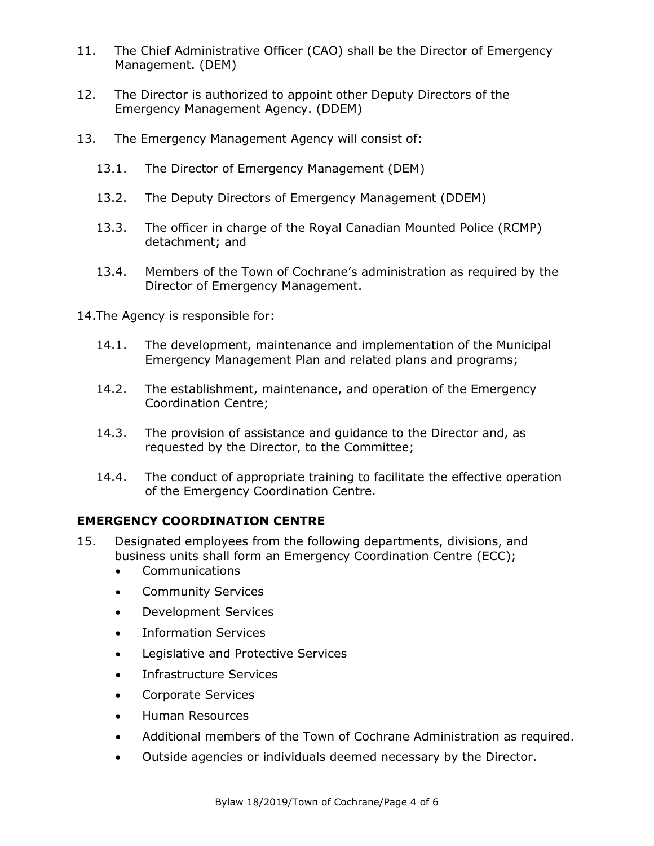- 11. The Chief Administrative Officer (CAO) shall be the Director of Emergency Management. (DEM)
- 12. The Director is authorized to appoint other Deputy Directors of the Emergency Management Agency. (DDEM)
- 13. The Emergency Management Agency will consist of:
	- 13.1. The Director of Emergency Management (DEM)
	- 13.2. The Deputy Directors of Emergency Management (DDEM)
	- 13.3. The officer in charge of the Royal Canadian Mounted Police (RCMP) detachment; and
	- 13.4. Members of the Town of Cochrane's administration as required by the Director of Emergency Management.
- 14.The Agency is responsible for:
	- 14.1. The development, maintenance and implementation of the Municipal Emergency Management Plan and related plans and programs;
	- 14.2. The establishment, maintenance, and operation of the Emergency Coordination Centre;
	- 14.3. The provision of assistance and guidance to the Director and, as requested by the Director, to the Committee;
	- 14.4. The conduct of appropriate training to facilitate the effective operation of the Emergency Coordination Centre.

## **EMERGENCY COORDINATION CENTRE**

- 15. Designated employees from the following departments, divisions, and business units shall form an Emergency Coordination Centre (ECC);
	- Communications
	- Community Services
	- Development Services
	- Information Services
	- Legislative and Protective Services
	- Infrastructure Services
	- Corporate Services
	- Human Resources
	- Additional members of the Town of Cochrane Administration as required.
	- Outside agencies or individuals deemed necessary by the Director.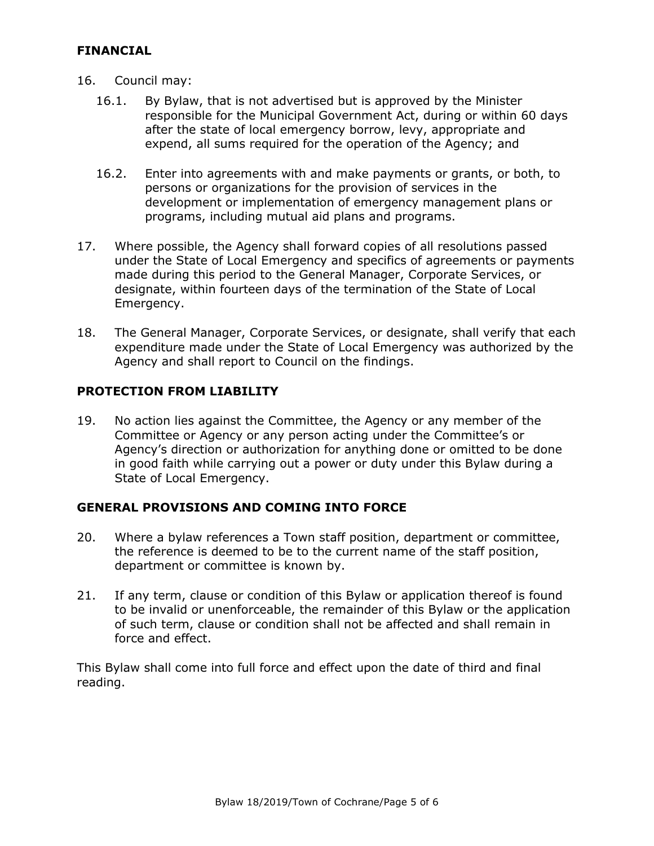#### **FINANCIAL**

- 16. Council may:
	- 16.1. By Bylaw, that is not advertised but is approved by the Minister responsible for the Municipal Government Act, during or within 60 days after the state of local emergency borrow, levy, appropriate and expend, all sums required for the operation of the Agency; and
	- 16.2. Enter into agreements with and make payments or grants, or both, to persons or organizations for the provision of services in the development or implementation of emergency management plans or programs, including mutual aid plans and programs.
- 17. Where possible, the Agency shall forward copies of all resolutions passed under the State of Local Emergency and specifics of agreements or payments made during this period to the General Manager, Corporate Services, or designate, within fourteen days of the termination of the State of Local Emergency.
- 18. The General Manager, Corporate Services, or designate, shall verify that each expenditure made under the State of Local Emergency was authorized by the Agency and shall report to Council on the findings.

#### **PROTECTION FROM LIABILITY**

19. No action lies against the Committee, the Agency or any member of the Committee or Agency or any person acting under the Committee's or Agency's direction or authorization for anything done or omitted to be done in good faith while carrying out a power or duty under this Bylaw during a State of Local Emergency.

### **GENERAL PROVISIONS AND COMING INTO FORCE**

- 20. Where a bylaw references a Town staff position, department or committee, the reference is deemed to be to the current name of the staff position, department or committee is known by.
- 21. If any term, clause or condition of this Bylaw or application thereof is found to be invalid or unenforceable, the remainder of this Bylaw or the application of such term, clause or condition shall not be affected and shall remain in force and effect.

This Bylaw shall come into full force and effect upon the date of third and final reading.